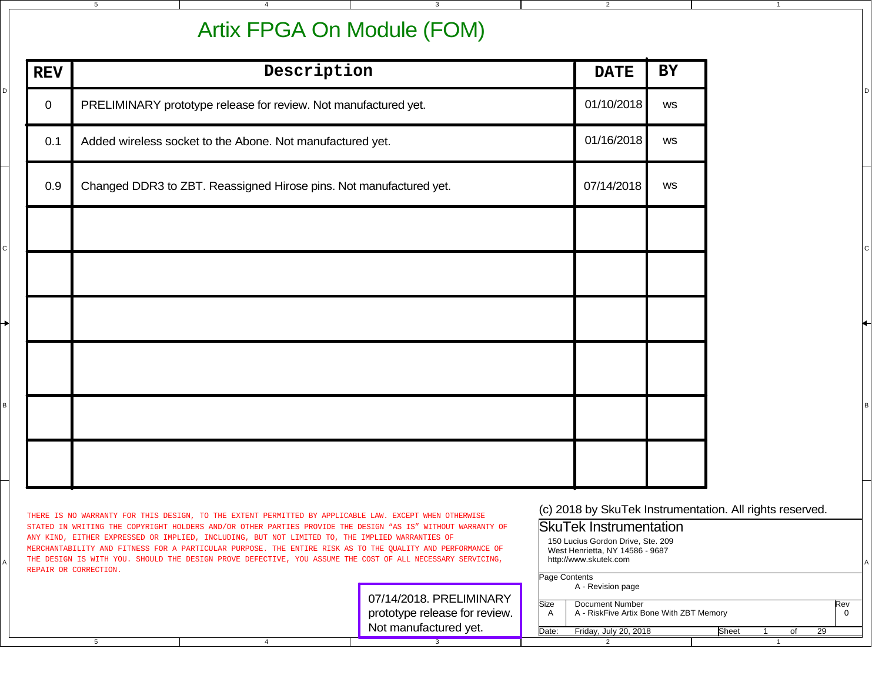## Artix FPGA On Module (FOM)

3

4

MERCHANTABILITY AND FITNESS FOR A PARTICULAR PURPOSE. THE ENTIRE RISK AS TO THE QUALITY AND PERFORMANCE OF

5

D

| <b>REV</b>  | Description                                                        | <b>DATE</b> | BY |
|-------------|--------------------------------------------------------------------|-------------|----|
| $\mathbf 0$ | PRELIMINARY prototype release for review. Not manufactured yet.    | 01/10/2018  | WS |
| 0.1         | Added wireless socket to the Abone. Not manufactured yet.          | 01/16/2018  | WS |
| 0.9         | Changed DDR3 to ZBT. Reassigned Hirose pins. Not manufactured yet. | 07/14/2018  | ws |
|             |                                                                    |             |    |
|             |                                                                    |             |    |
|             |                                                                    |             |    |
|             |                                                                    |             |    |
|             |                                                                    |             |    |
|             |                                                                    |             |    |
|             |                                                                    |             |    |

150 Lucius Gordon Drive, Ste. 209 West Henrietta, NY 14586 - 9687http://www.skutek.com

2

1

| THE DESIGN IS WITH YOU. SHOULD THE DESIGN PROVE DEFECTIVE, YOU ASSUME THE COST OF ALL NECESSARY SERVICING, |  |                                                                                   |                             | http://www.skutek.com                                                           |       |  |  |     |  |
|------------------------------------------------------------------------------------------------------------|--|-----------------------------------------------------------------------------------|-----------------------------|---------------------------------------------------------------------------------|-------|--|--|-----|--|
| REPAIR OR CORRECTION.                                                                                      |  |                                                                                   |                             | Page Contents                                                                   |       |  |  |     |  |
|                                                                                                            |  | 07/14/2018. PRELIMINARY<br>prototype release for review.<br>Not manufactured yet. | <b>Size</b><br>$\mathsf{A}$ | A - Revision page<br>Document Number<br>A - RiskFive Artix Bone With ZBT Memory |       |  |  | Rev |  |
|                                                                                                            |  |                                                                                   | Date:                       | Friday, July 20, 2018                                                           | Sheet |  |  | 29  |  |
|                                                                                                            |  |                                                                                   |                             |                                                                                 |       |  |  |     |  |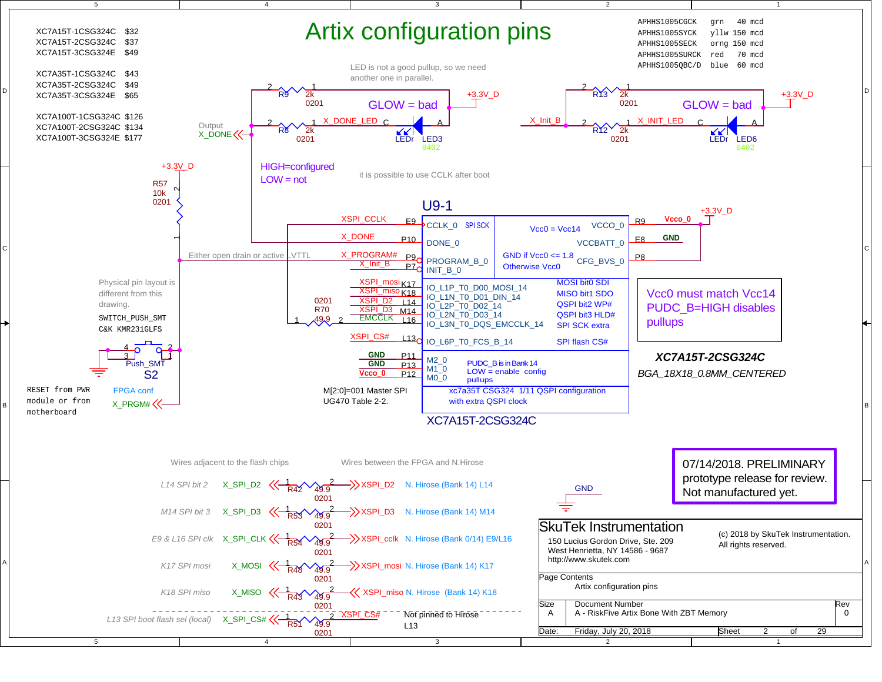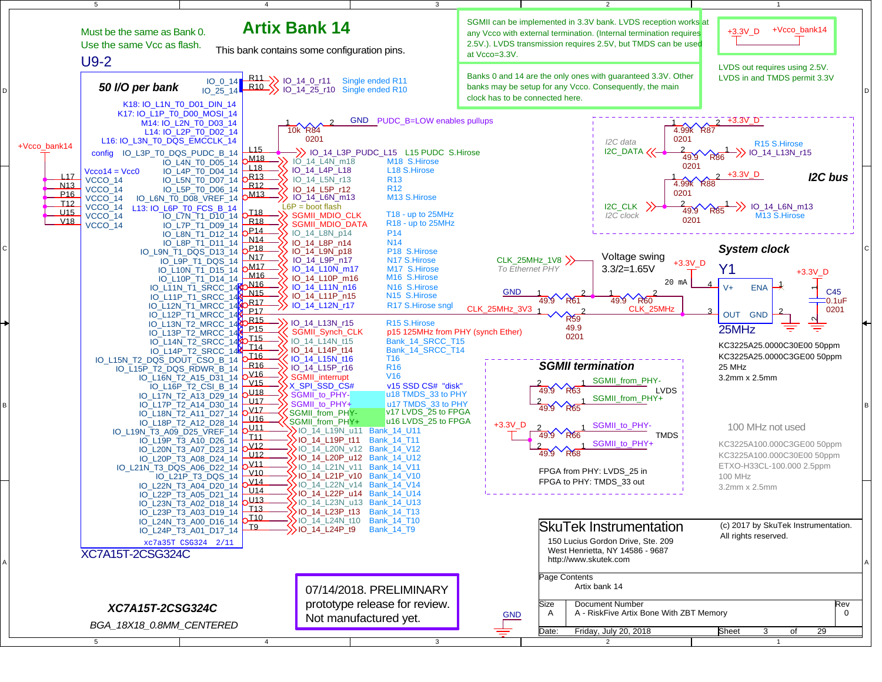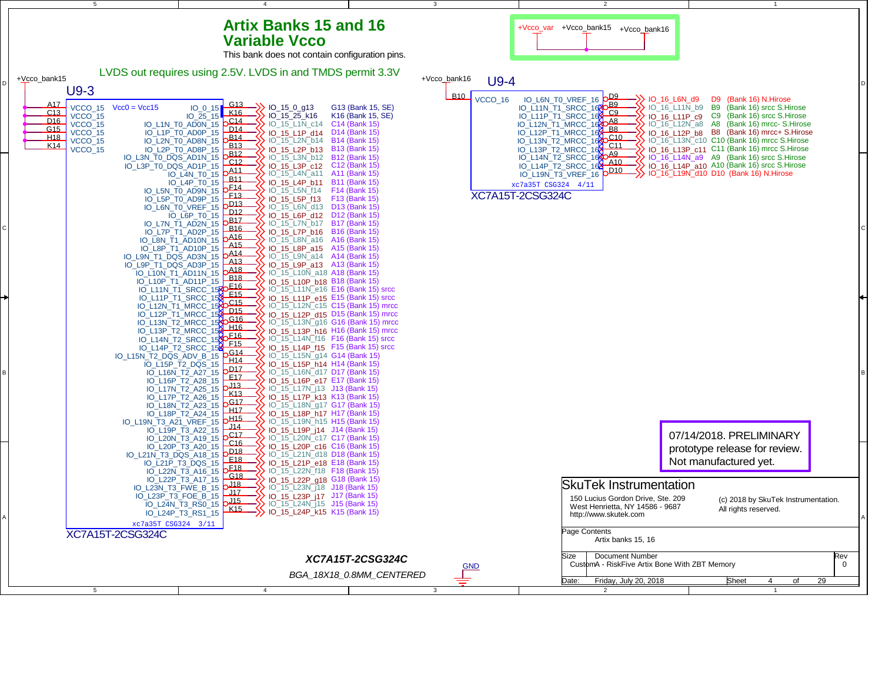## **Artix Banks 15 and 16Variable Vcco**

4

5



3

2

+Vcco\_var +Vcco\_bank15+Vcco\_bank16

1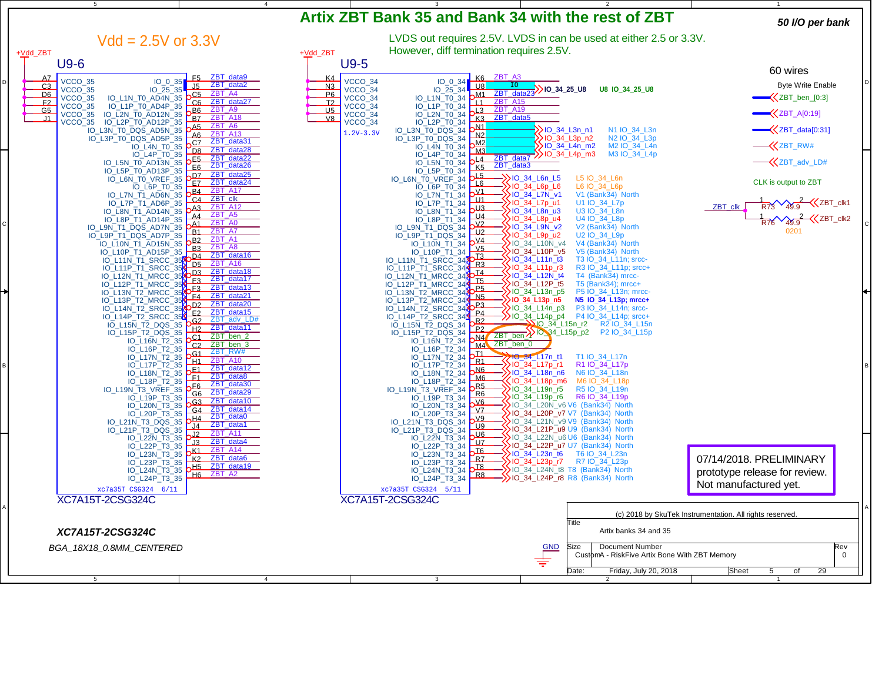| 5                                                                                                                                                                                                                                                     | $\overline{4}$             |                                                                                                                                                                                                                                                    |                                                                                                            |                                                          |
|-------------------------------------------------------------------------------------------------------------------------------------------------------------------------------------------------------------------------------------------------------|----------------------------|----------------------------------------------------------------------------------------------------------------------------------------------------------------------------------------------------------------------------------------------------|------------------------------------------------------------------------------------------------------------|----------------------------------------------------------|
|                                                                                                                                                                                                                                                       |                            | Artix ZBT Bank 35 and Bank 34 with the rest of ZBT                                                                                                                                                                                                 |                                                                                                            | 50 I/O per bank                                          |
| $Vdd = 2.5V$ or 3.3V<br>+Vdd_ZBT                                                                                                                                                                                                                      | +Vdd_ZBT                   | However, diff termination requires 2.5V.                                                                                                                                                                                                           | LVDS out requires 2.5V. LVDS in can be used at either 2.5 or 3.3V.                                         |                                                          |
| $U9-6$                                                                                                                                                                                                                                                | $U9-5$                     |                                                                                                                                                                                                                                                    |                                                                                                            |                                                          |
| ZBT_data9<br>AZ<br>F <sub>5</sub>                                                                                                                                                                                                                     | K <sub>4</sub>             | K6 ZBT_A3                                                                                                                                                                                                                                          |                                                                                                            | 60 wires                                                 |
| VCCO 35<br>$IO_0_35$<br>ZBT_data2<br>C <sub>3</sub><br>J5<br>VCCO_35<br>IO_25_35                                                                                                                                                                      | N3                         | VCCO_34<br>$IO_0_34$<br>$\cup$ 8<br>$IO_25_34$<br>VCCO_34                                                                                                                                                                                          | $\left.\frac{\text{ZBT}_{\text{data23}}}{\text{ZBT}_{\text{data23}}}\right)$ 10_34_25_U8<br>U8 IO 34 25 U8 | <b>Byte Write Enable</b>                                 |
| ZBT_A4<br>D6<br>C <sub>5</sub><br>VCCO_35<br>C6<br>ZBT_data27                                                                                                                                                                                         | P6                         | $b$ <sup>M1</sup><br>VCCO_34<br><b>ZBT_A15</b>                                                                                                                                                                                                     |                                                                                                            | $\bigotimes$ ZBT_ben_[0:3]                               |
| 35<br>35 IO_L1N_T0_AD4P_35<br>35 IO_L2N_T0_AD12N_35<br>35 IO_L2P_T0_AD12N_35<br>35 IO_L2P_T0_AD12P_35<br>10_L3N_T0_DQS_AD5N_35<br>10_L3N_T0_DQS_AD5N_35<br>F2<br>VCCO 35<br>ZBT A9<br>G <sub>5</sub><br>B6<br>$VCCO_35$<br>ZBT A18<br>J1<br><u>BZ</u> | T2<br>U <sub>5</sub><br>V8 | $\begin{array}{r} 10\_170\_34 \\ \hline 10\_119\_10\_34 \\ 10\_129\_10\_34 \\ 10\_129\_10\_34 \\ 10\_129\_10\_34 \\ 10\_130\_10\_DQS\_34 \\ \hline \end{array}$<br>L1<br>VCCO_34<br>ZBT_A19<br>$\perp$ 3<br>$VCCO$ _34<br>K <sub>3</sub> ZBT data5 |                                                                                                            | $\left\langle \text{ZBT\_A[0:19]} \right\rangle$         |
| $VCCO_35$<br>ZBT A6<br>$\Delta$ 5                                                                                                                                                                                                                     |                            | VCCO_34<br>$\mathbf{M}$                                                                                                                                                                                                                            | $\rightarrow$ 10 34 L3n n1<br>N1 IO_34_L3n                                                                 | KZBT_data[0:31]                                          |
| ZBT A13<br>A6<br>IO_L3P_T0_DQS_AD5P_35<br>ZBT data31<br>c <sub>Z</sub>                                                                                                                                                                                |                            | $1.2V - 3.3V$<br>N2<br>M2                                                                                                                                                                                                                          | N2 IO 34 L3p<br>$\sum$ IO_34_L3p_n2                                                                        |                                                          |
| IO_L4N_T0_35<br>ZBT data28<br>$\sqrt{28}$<br>IO_L4P_T0_35                                                                                                                                                                                             |                            | M3                                                                                                                                                                                                                                                 | $\rightarrow$ 10_34_L4n_m2<br>M2 IO_34_L4n<br>M3 IO_34_L4p                                                 | <b>KZBT_RW#</b>                                          |
| ZBT_data22<br>_43<br>E6<br>IO_L5N_T0_AD13N_35<br>ZBT_data26<br>IO_L5P_T0_AD13P_35                                                                                                                                                                     |                            | 10_L3P_T0_DQS_34<br>10_L4N_T0_34<br>10_L4P_T0_34<br>10_L5N_T0_34<br>$\sqrt{4}$<br>ZBT data3<br>K5<br>IO_L5P_T0_34                                                                                                                                  | $\overline{\text{ZBT data7}}$ > IO_34_L4p_m3                                                               | <b>&lt;</b> ZBT_adv_LD#                                  |
| ZBT_data25<br>ZBT_data24<br>DZ<br>IO_L6N_T0_VREF_35<br><u>EZ</u><br>IO_L6P_T0_35                                                                                                                                                                      |                            | $\perp 5$<br>IO_L6N_T0_VREF_34<br>$\overline{L6}$<br>IO_L6P_T0_34                                                                                                                                                                                  | ->10_34_L6n_L5<br>->10_34_L6p_L6<br>L5 IO_34_L6n<br>L6 IO_34_L6p                                           | CLK is output to ZBT                                     |
| <b>ZBT_A17</b><br>B4<br>IO_L7N_T1_AD6N_35<br>ZBT_clk<br>C <sub>4</sub>                                                                                                                                                                                |                            | $\frac{V_1}{V_1}$<br>IO_L7N_T1_34<br>$'$ U1                                                                                                                                                                                                        | >D_34_L7N_v1<br>V1 (Bank34) North                                                                          |                                                          |
| IO_L7P_T1_AD6P_35<br>ZBT_A12<br>A3                                                                                                                                                                                                                    |                            | IO_L7P_T1_34<br>$\sqrt{13}$                                                                                                                                                                                                                        | >10_34_L7p_u1<br>U1 IO_34_L7p<br>>10_34_L8n_u3<br>U3 IO_34_L8n                                             | $\frac{1}{R73}\sqrt{49.9}$ $\leq$ ZBT_clk1<br>ZBT_clk    |
| IO_L8N_T1_AD14N_35<br>IO_L8P_T1_AD14P_35<br>ZBT_A5<br>A4<br>ZBT A0<br>$\mathbf{A}$ 1                                                                                                                                                                  |                            | 10_L8N_T1_34<br>10_L8P_T1_34<br>10_L9N_T1_DQS_34<br>$U_4$<br>$\sqrt{2}$                                                                                                                                                                            | >IO_34_L8p_u4<br>U4 IO_34_L8p                                                                              | $\frac{1}{R76} \sqrt{49.9}$ $\sqrt{(2B1 - c1k2)}$        |
| IO_L9N_T1_DQS_AD7N_35<br>ZBT A7<br>B1<br>IO_L9P_T1_DQS_AD7P_35                                                                                                                                                                                        |                            | U <sub>2</sub><br>IO_L9P_T1_DQS_34                                                                                                                                                                                                                 | >O_34_L9N_v2<br>V2 (Bank34) North<br>>10_34_L9p_u2<br>U2 IO 34 L9p                                         |                                                          |
| ZBT A1<br>B2<br>IO_L10N_T1_AD15N_35<br>ZBT A8<br>B3                                                                                                                                                                                                   |                            | $\sqrt{4}$<br>IO_L10N_T1_34                                                                                                                                                                                                                        | $\sum$ IO_34_L10N_v4<br>V4 (Bank34) North                                                                  |                                                          |
| IO_L10P_T1_AD15P_35<br>ZBT data16<br>D <sub>4</sub><br>IO_L11N_T1_SRCC_35                                                                                                                                                                             |                            | 10_L10P_T1_34<br>10_L11N_T1_SRCC_34 <b>KO_T3</b>                                                                                                                                                                                                   | V5 (Bank34) North<br>>D_34_L10P_v5<br>>0_34_L11n_t3<br>T3 IO_34_L11n; srcc-                                |                                                          |
| D <sub>5</sub><br><b>ZBT A16</b><br>10_L11P_T1_SRCC_35<br>10_L12N_T1_MRCC_35<br>ZBT_data18                                                                                                                                                            |                            | R3<br>IO_L11P_T1_SRCC_34<br>$\sqrt{14}$                                                                                                                                                                                                            | >10_34_L11p_r3<br>R3 IO_34_L11p; srcc+                                                                     |                                                          |
| ZBT_data17<br>E3                                                                                                                                                                                                                                      |                            | T5                                                                                                                                                                                                                                                 | >10_34_L12N_t4<br>T4 (Bank34) mrcc-<br>D_34_L12P_t5<br>T5 (Bank34); mrcc+                                  |                                                          |
| IO_L12P_T1_MRCC_35<br>ZBT_data13<br>ZBT_data21<br>E3<br>IO_L13N_T2_MRCC_35                                                                                                                                                                            |                            | IO_L12P_T1_MRCC_34<br>E <sub>5</sub><br>IO_L13N_T2_MRCC_34                                                                                                                                                                                         | >IO_34_L13n_p5<br>P5 IO_34_L13n; mrcc-                                                                     |                                                          |
| $F_4$<br>IO_L13P_T2_MRCC_35<br>ZBT_data20<br>D2                                                                                                                                                                                                       |                            | N <sub>5</sub><br>IO_L13P_T2_MRCC_34<br>P <sub>3</sub>                                                                                                                                                                                             | 10_34_L13p_n5<br>N5 IO_34_L13p; mrcc+                                                                      |                                                          |
| E2<br>ZBT_data15                                                                                                                                                                                                                                      |                            | P <sub>4</sub>                                                                                                                                                                                                                                     | $\sum$ IO_34_L14n_p3<br>P3 IO_34_L14n; srcc-<br>$\sum$ IO_34_L14p_p4 P4 IO_34_L14p; srcc+                  |                                                          |
| 10_L14N_T2_SRCC_35X<br>10_L14P_T2_SRCC_35X<br>10_L15N_T2_DQS_35<br>ZBT_adv_LD#<br>_<br>92<br>ZBT_data11<br><u>H2</u>                                                                                                                                  |                            | 0_14N_T2_SRCC_348<br>IO_14P_T2_SRCC_348<br>IO_15N_T2_DQS_34<br>IO_15P_T2_DQS_34<br>R <sub>2</sub>                                                                                                                                                  | $20 - 34 - 15n - 2$<br>R2 IO_34_L15n                                                                       |                                                          |
| IO_L15P_T2_DQS_35<br>ZBT_ben_2<br>$\mathcal{L}1$<br>IO_L16N_T2_35                                                                                                                                                                                     |                            | IO_L16N_T2_34<br>ZBT_ben_0                                                                                                                                                                                                                         | N4 ZBT_ben 20 34_L15p_p2<br>P2 IO_34_L15p                                                                  |                                                          |
| ZBT_ben_3<br>C <sub>2</sub><br>IO_L16P_T2_35<br>ZBT RW#<br>G1                                                                                                                                                                                         |                            | M4<br>10_L10N_12_34<br>10_L17N_T2_34<br>10_L17N_T2_34<br>10_L18N_T2_34<br>10_L18P_T2_34<br>10_L18P_T2_34<br>$\Pi$                                                                                                                                  |                                                                                                            |                                                          |
| IO_L17N_T2_35<br><b>ZBT A10</b><br>H <sub>1</sub><br>IO_L17P_T2_35                                                                                                                                                                                    |                            | <u>R1</u>                                                                                                                                                                                                                                          | 10-34 L17n_t1<br>T1 IO_34_L17n<br>>lO_34_L17p_r1<br>R1 IO_34_L17p                                          |                                                          |
| ZBT_data12<br>IO_L18N_T2_35<br>ZBT_data8<br>F1                                                                                                                                                                                                        |                            | M6<br>M6                                                                                                                                                                                                                                           | >O_34_L18n_n6<br>N6 IO 34 L18n                                                                             |                                                          |
| IO_L18P_T2_35<br>ZBT_data30<br>E <sub>6</sub><br>IO_L19N_T3_VREF_35                                                                                                                                                                                   |                            | R5<br>IO_L19N_T3_VREF_34                                                                                                                                                                                                                           | KIO_34_L18p_m6<br>M6 IO_34_L18p<br>10_34_L19n_r5<br>R5 IO_34_L19n                                          |                                                          |
| ZBT_data29<br>ZBT_data10<br>G6<br>IO_L19P_T3_35                                                                                                                                                                                                       |                            | <u>R6</u><br>IO_L19P_T3_34                                                                                                                                                                                                                         | O_34_L19p_r6<br>R6 IO_34_L19p                                                                              |                                                          |
| G3<br>IO_L20N_T3_35<br>ZBT_data14<br>G4                                                                                                                                                                                                               |                            | $\underline{\vee6}$<br>IO_L20N_T3_34<br>V <sub>7</sub>                                                                                                                                                                                             | 10_34_L20N_v6 V6 (Bank34) North<br>10_34_L20P_v7 V7 (Bank34) North                                         |                                                          |
| IO_L20P_T3_35<br>ZBT_data0<br>H <sub>4</sub><br>10_L21N_T3_DQS_35<br>10_L21P_T3_DQS_35<br>ZBT_data1                                                                                                                                                   |                            | IO_L20P_T3_34<br>IO_L21N_T3_DQS_34<br>IO_L21P_T3_DQS_34<br>$\sqrt{9}$                                                                                                                                                                              | O_34_L21N_v9 V9 (Bank34) North                                                                             |                                                          |
| J <sub>4</sub><br>ZBT A11<br>$\sqrt{2}$                                                                                                                                                                                                               |                            | U <sub>9</sub><br>$\underline{\mathsf{U6}}$                                                                                                                                                                                                        | 10_34_L21P_u9 U9 (Bank34) North<br>>O_34_L22N_u6 U6 (Bank34) North                                         |                                                          |
| IO_L22N_T3_35<br>ZBT_data4<br>$\mathsf{u}$<br>IO_L22P_T3_35<br>ZBT A14                                                                                                                                                                                |                            | IO_L22N_T3_34<br>U<br>IO_L22P_T3_34                                                                                                                                                                                                                | DO_34_L22P_u7 U7 (Bank34) North                                                                            |                                                          |
| K1<br>IO_L23N_T3_35<br>ZBT_data6<br>K <sub>2</sub>                                                                                                                                                                                                    |                            | $\overline{16}$<br>IO_L23N_T3_34<br>RZ                                                                                                                                                                                                             | $\bigvee_{10} 10 \overline{\smash{\big)}\ 123n \_16}$ T6 10 34 L23n<br>2010_34 L23p_r7 R7 10 34 L23p       | 07/14/2018. PRELIMINARY                                  |
| IO_L23P_T3_35<br>ZBT_data19<br>$\overline{D^{H5}}$<br>IO_L24N_T3_35                                                                                                                                                                                   |                            | 10_L23P_T3_34<br>10_L24N_T3_34<br>10_L24P_T3_34<br>$\sqrt{18}$                                                                                                                                                                                     | >10_34_L24N_t8 T8 (Bank34) North                                                                           | prototype release for review.                            |
| ZBT A2<br><u>Н6</u><br>IO_L24P_T3_35                                                                                                                                                                                                                  |                            | R <sub>8</sub>                                                                                                                                                                                                                                     | $\frac{1}{2}$ IO_34_L24P_r8 R8 (Bank34) North                                                              | Not manufactured yet.                                    |
| xc7a35T CSG324 6/11                                                                                                                                                                                                                                   |                            | xc7a35T CSG324 5/11                                                                                                                                                                                                                                |                                                                                                            |                                                          |
| XC7A15T-2CSG324C                                                                                                                                                                                                                                      |                            | XC7A15T-2CSG324C                                                                                                                                                                                                                                   |                                                                                                            | (c) 2018 by SkuTek Instrumentation. All rights reserved. |
| XC7A15T-2CSG324C                                                                                                                                                                                                                                      |                            |                                                                                                                                                                                                                                                    | Title<br>Artix banks 34 and 35                                                                             |                                                          |
| BGA_18X18_0.8MM_CENTERED                                                                                                                                                                                                                              |                            |                                                                                                                                                                                                                                                    | <b>GND</b><br>Size<br><b>Document Number</b>                                                               | Rev                                                      |
|                                                                                                                                                                                                                                                       |                            |                                                                                                                                                                                                                                                    | CustomA - RiskFive Artix Bone With ZBT Memory                                                              |                                                          |
|                                                                                                                                                                                                                                                       | $\overline{a}$             | $\mathbf{B}$                                                                                                                                                                                                                                       | Friday, July 20, 2018<br>Date:<br>$\mathcal{P}$                                                            | Sheet<br>of<br>29<br>5                                   |
|                                                                                                                                                                                                                                                       |                            |                                                                                                                                                                                                                                                    |                                                                                                            |                                                          |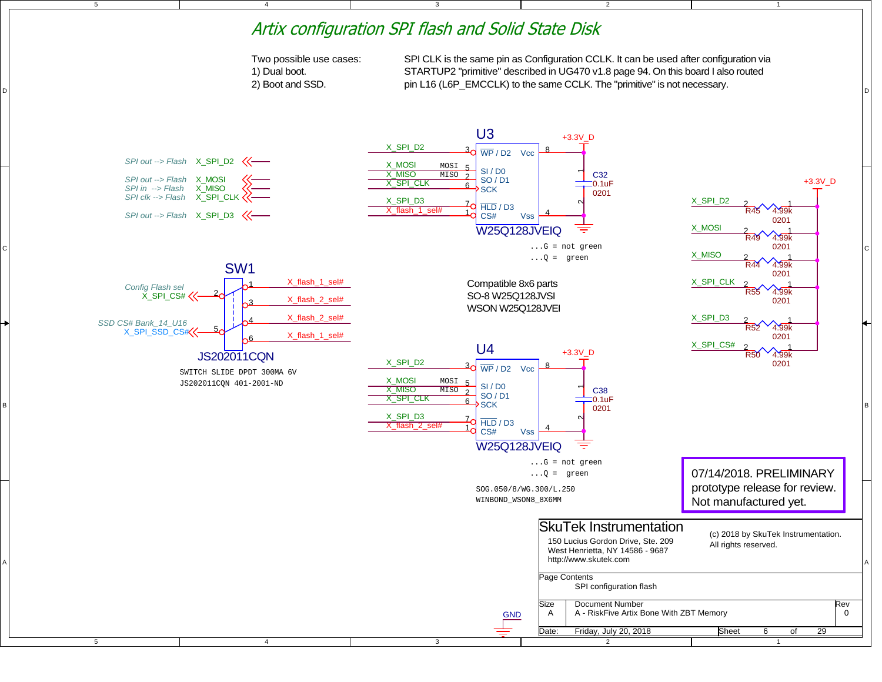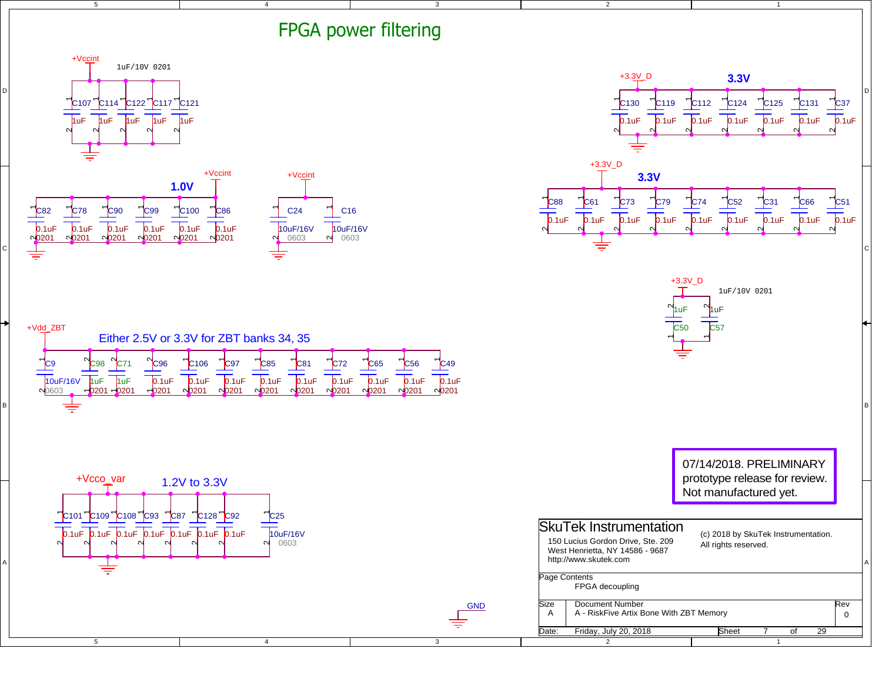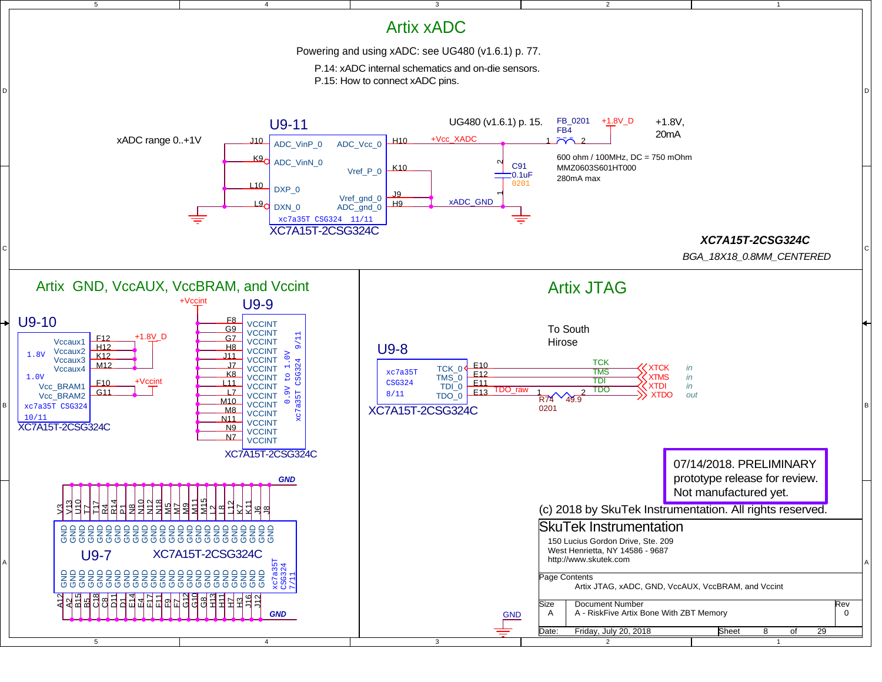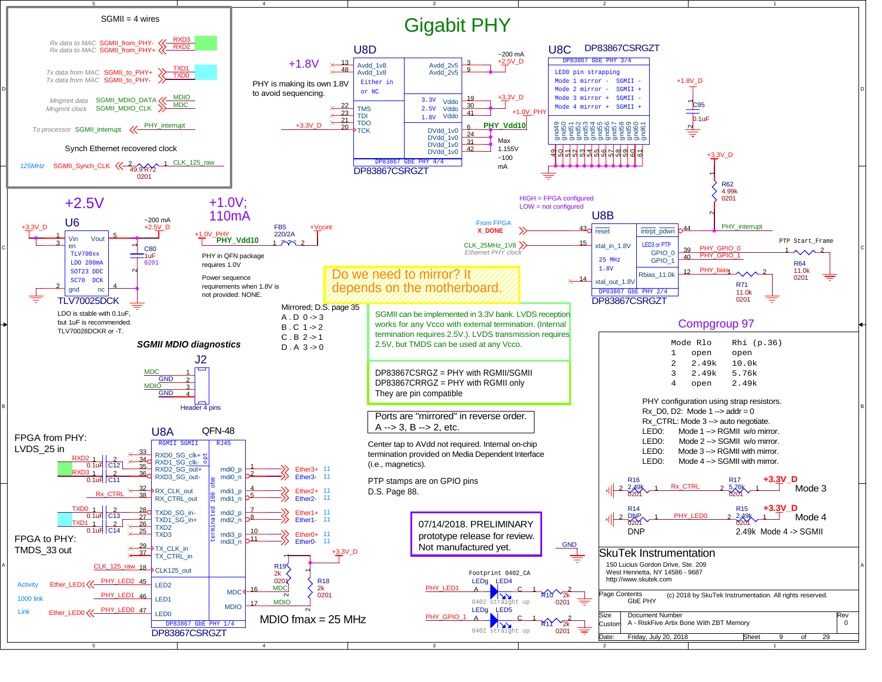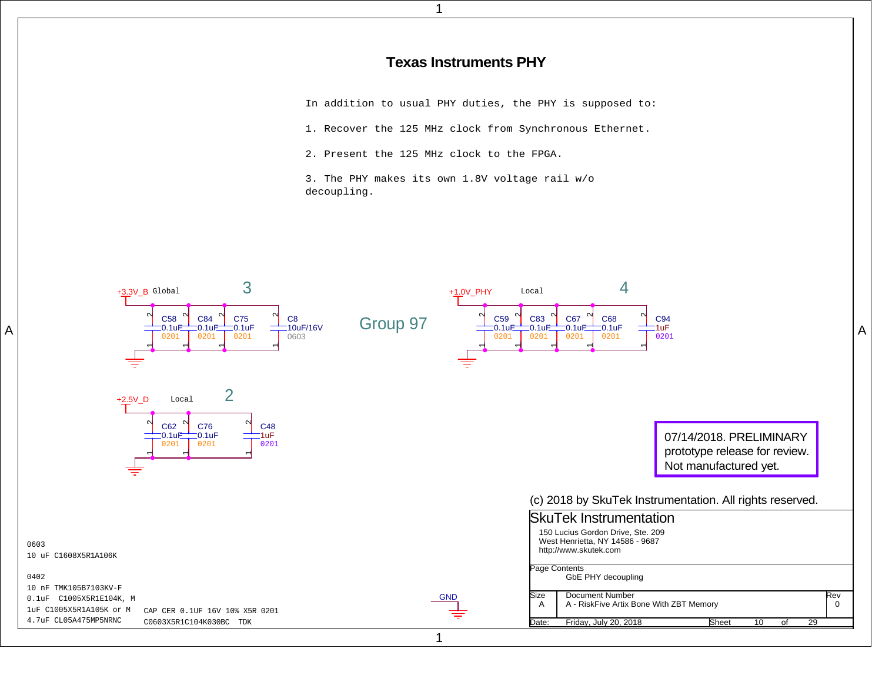## **Texas Instruments PHY**

In addition to usual PHY duties, the PHY is supposed to:

1. Recover the 125 MHz clock from Synchronous Ethernet.

2. Present the 125 MHz clock to the FPGA.

A

3. The PHY makes its own 1.8V voltage rail w/odecoupling.

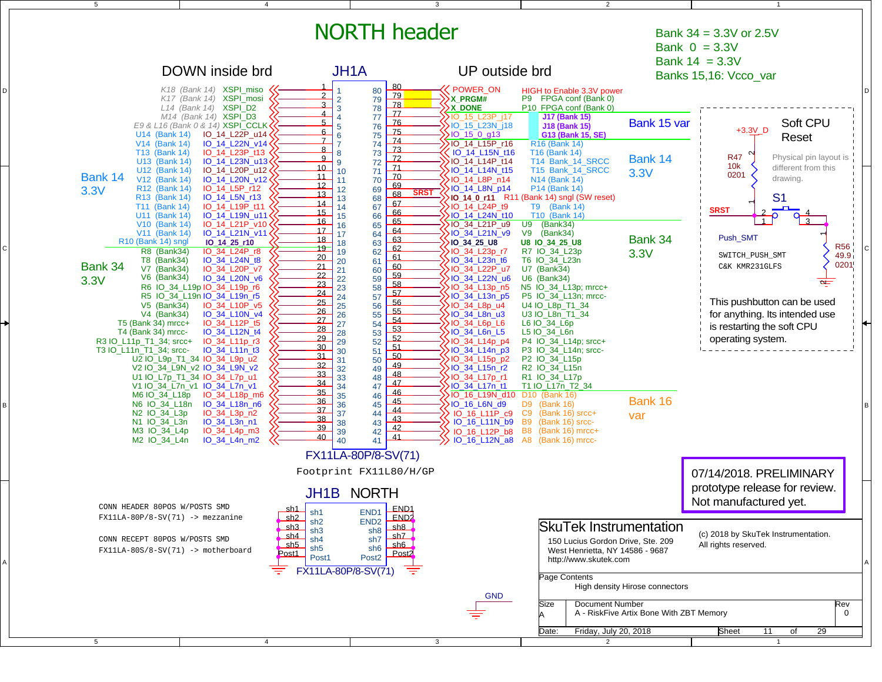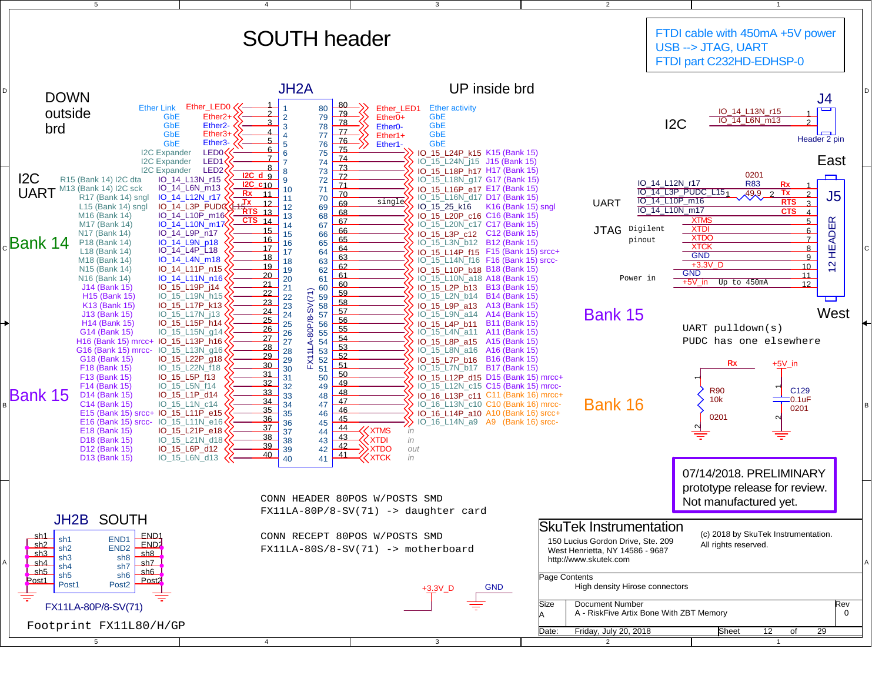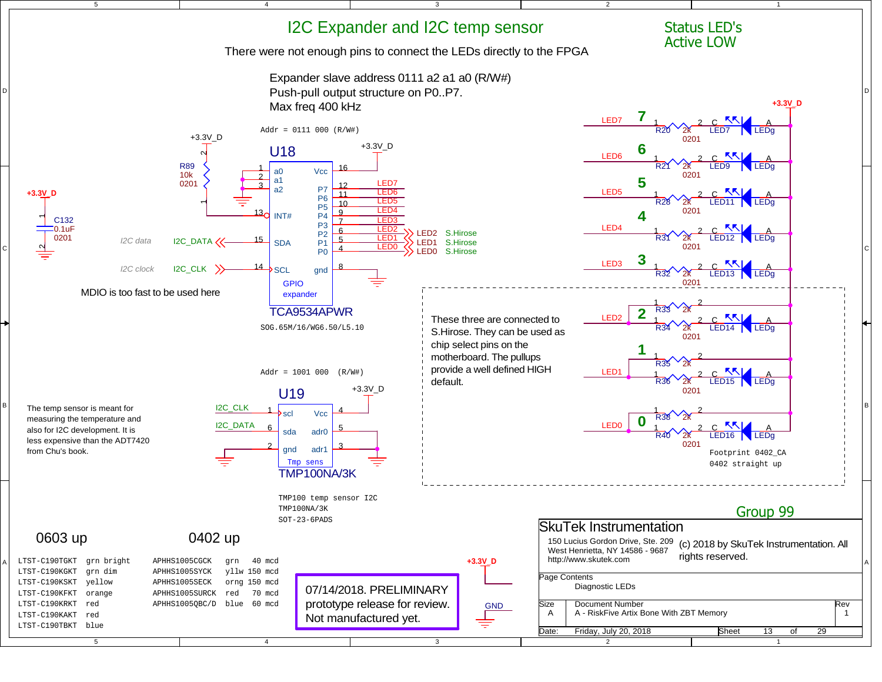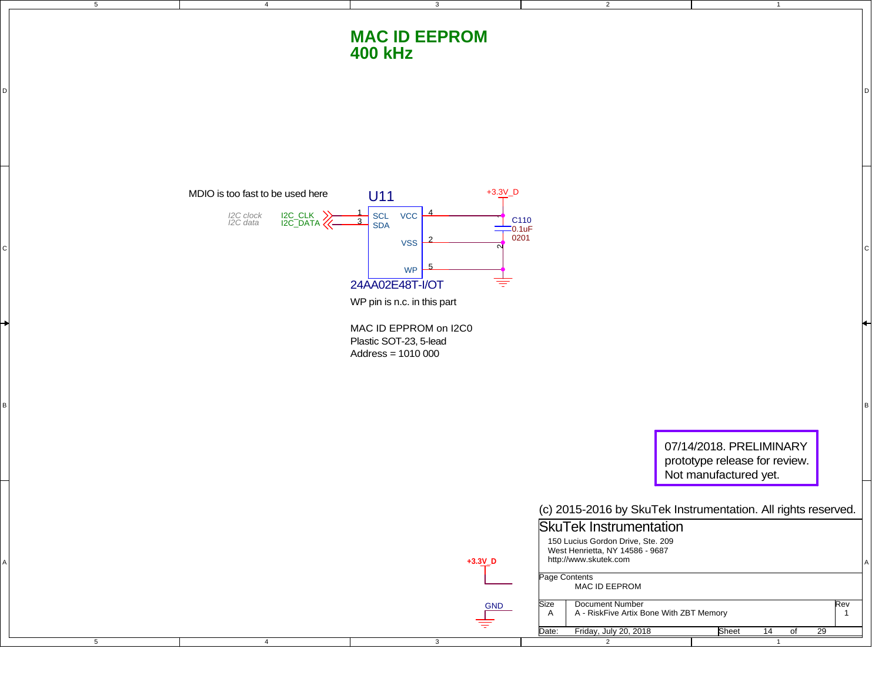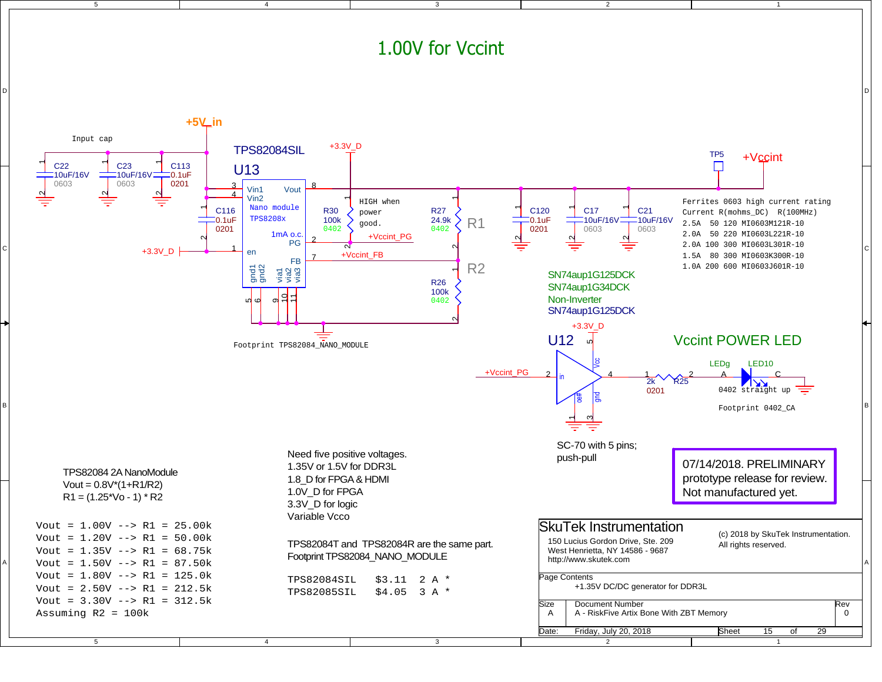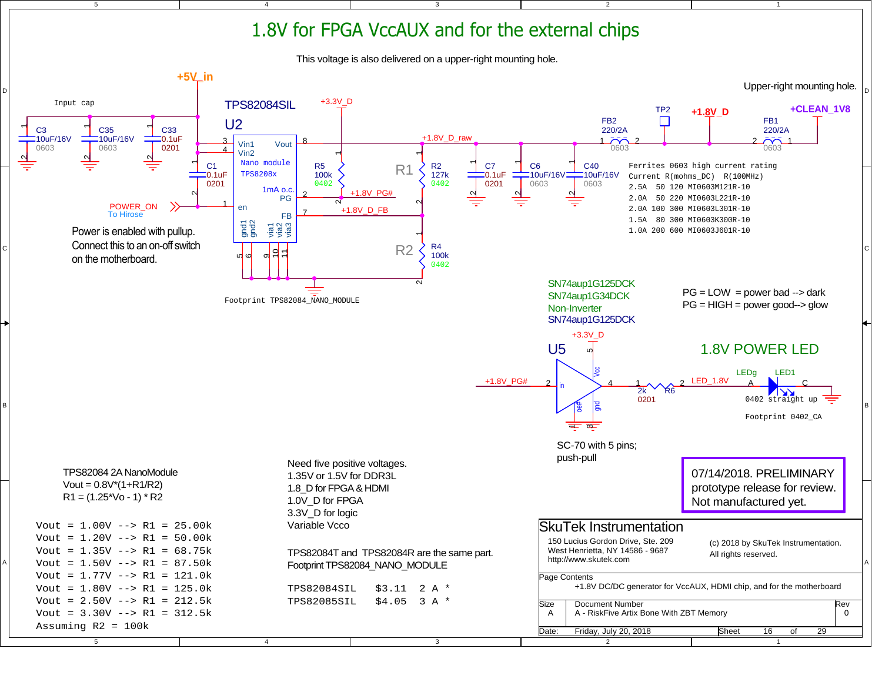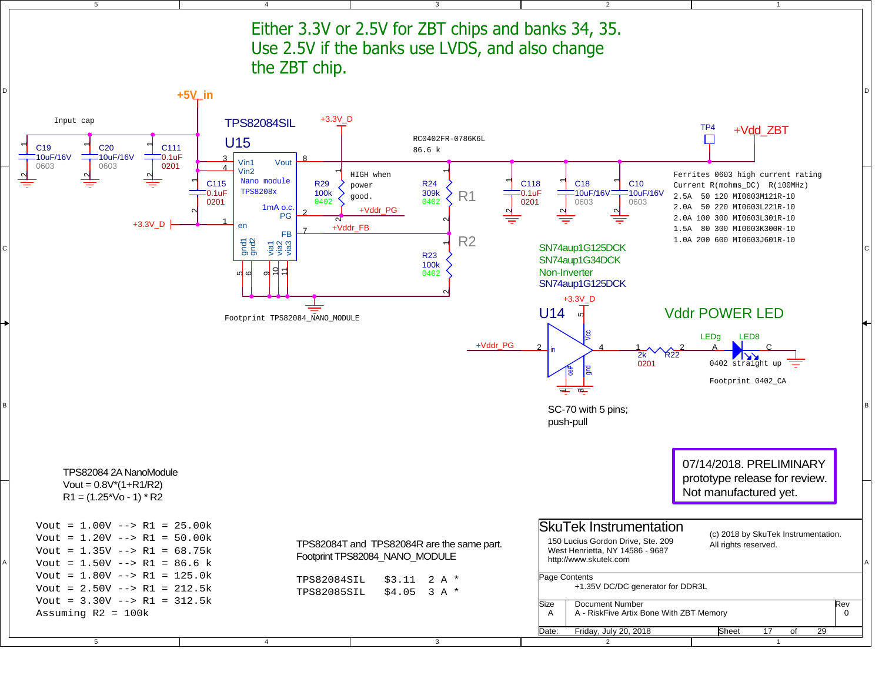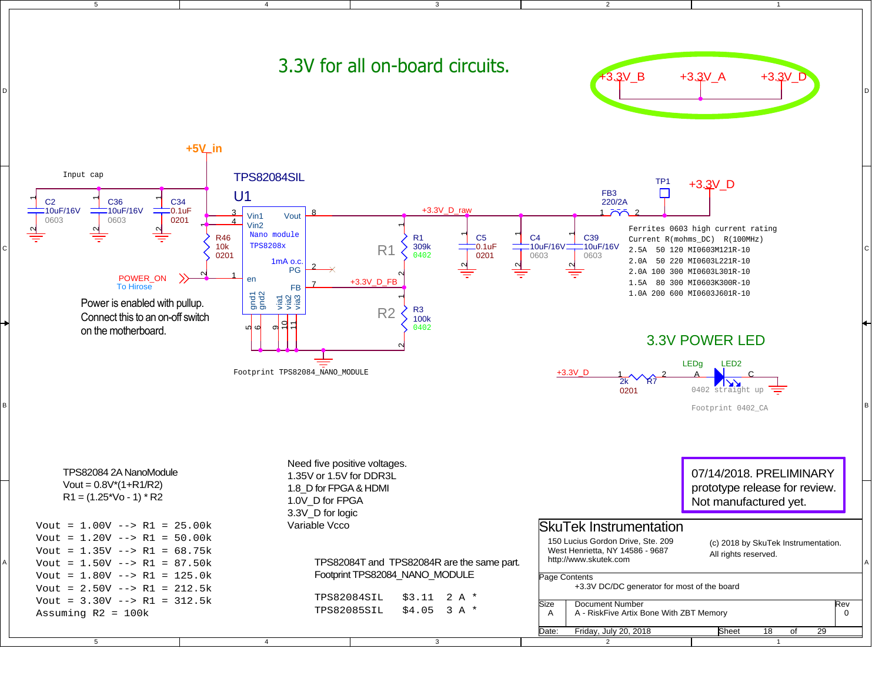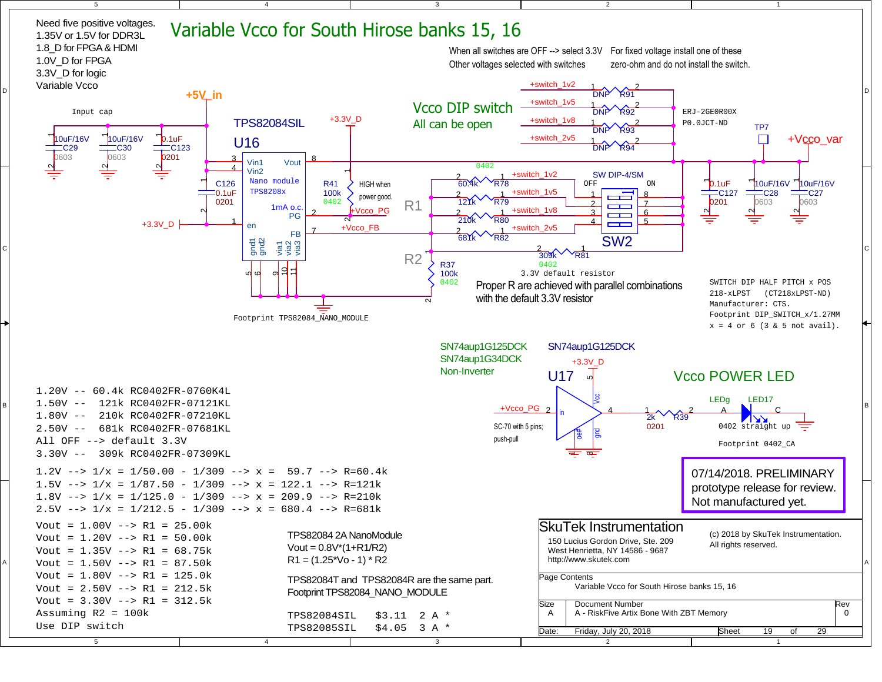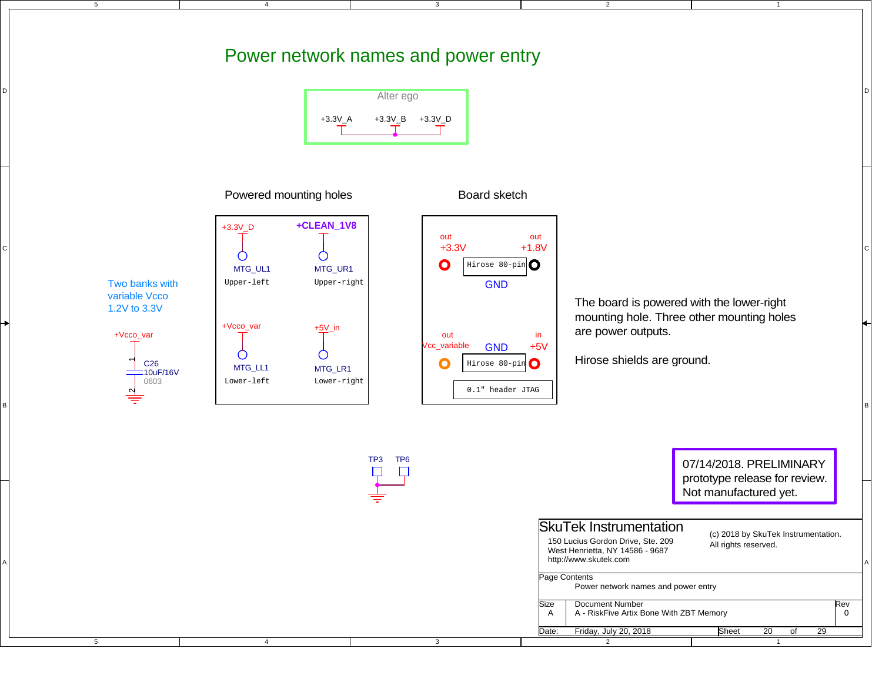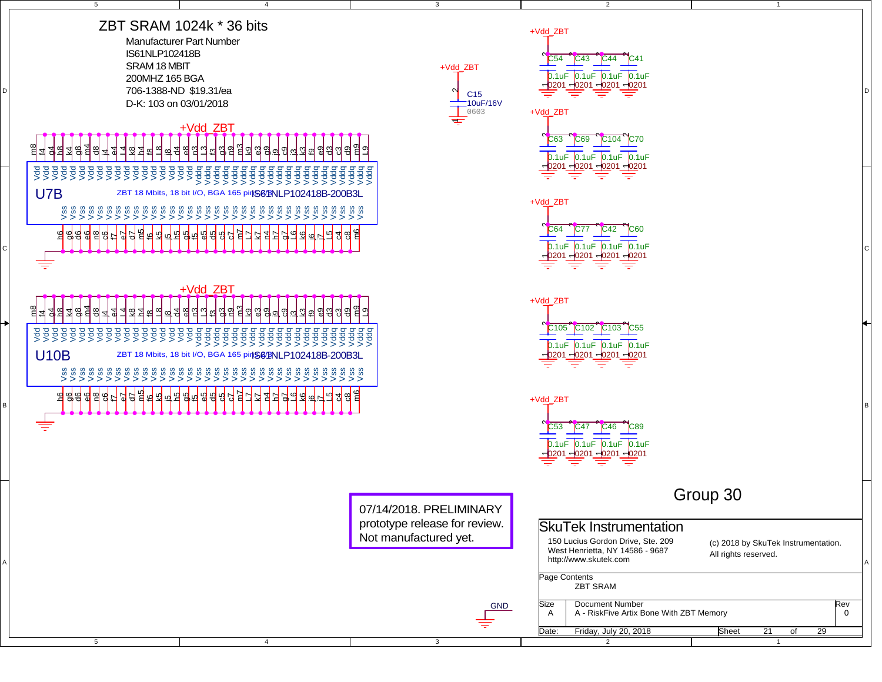